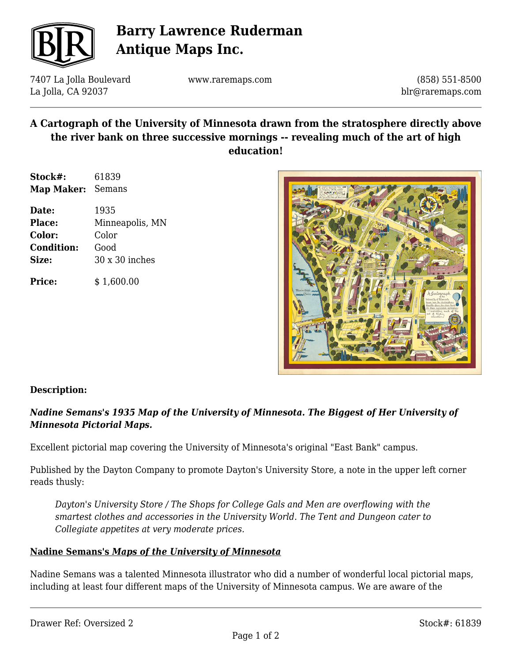

# **Barry Lawrence Ruderman Antique Maps Inc.**

7407 La Jolla Boulevard La Jolla, CA 92037

www.raremaps.com

(858) 551-8500 blr@raremaps.com

### **A Cartograph of the University of Minnesota drawn from the stratosphere directly above the river bank on three successive mornings -- revealing much of the art of high education!**

| Stock#:    | 61839  |
|------------|--------|
| Map Maker: | Semans |

| Date:             | 1935                  |
|-------------------|-----------------------|
| <b>Place:</b>     | Minneapolis, MN       |
| Color:            | Color                 |
| <b>Condition:</b> | Good                  |
| Size:             | $30 \times 30$ inches |
|                   |                       |

**Price:**  $$ 1,600.00$ 



#### **Description:**

### *Nadine Semans's 1935 Map of the University of Minnesota. The Biggest of Her University of Minnesota Pictorial Maps.*

Excellent pictorial map covering the University of Minnesota's original "East Bank" campus.

Published by the Dayton Company to promote Dayton's University Store, a note in the upper left corner reads thusly:

*Dayton's University Store / The Shops for College Gals and Men are overflowing with the smartest clothes and accessories in the University World. The Tent and Dungeon cater to Collegiate appetites at very moderate prices.*

#### **Nadine Semans's** *Maps of the University of Minnesota*

Nadine Semans was a talented Minnesota illustrator who did a number of wonderful local pictorial maps, including at least four different maps of the University of Minnesota campus. We are aware of the